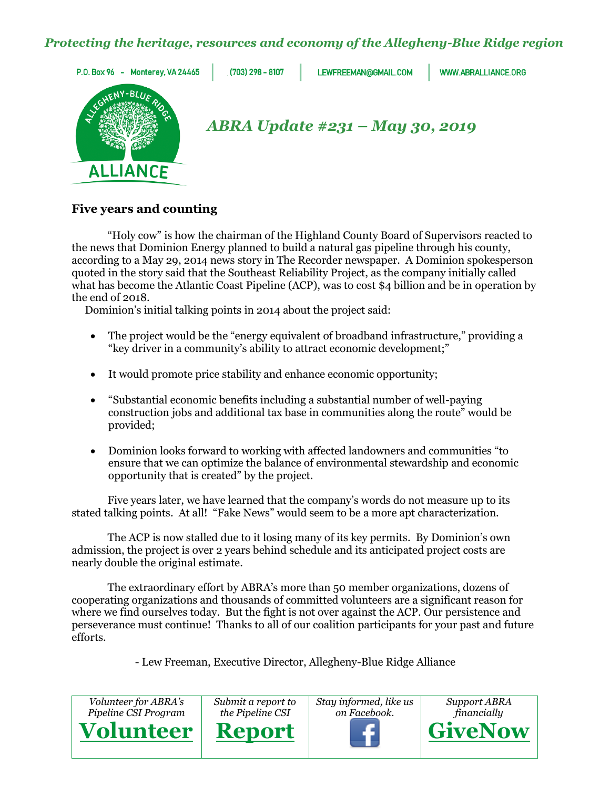# *Protecting the heritage, resources and economy of the Allegheny-Blue Ridge region*



## **Five years and counting**

"Holy cow" is how the chairman of the Highland County Board of Supervisors reacted to the news that Dominion Energy planned to build a natural gas pipeline through his county, according to a May 29, 2014 news story in The Recorder newspaper. A Dominion spokesperson quoted in the story said that the Southeast Reliability Project, as the company initially called what has become the Atlantic Coast Pipeline (ACP), was to cost \$4 billion and be in operation by the end of 2018.

Dominion's initial talking points in 2014 about the project said:

- The project would be the "energy equivalent of broadband infrastructure," providing a "key driver in a community's ability to attract economic development;"
- It would promote price stability and enhance economic opportunity;
- "Substantial economic benefits including a substantial number of well-paying construction jobs and additional tax base in communities along the route" would be provided;
- Dominion looks forward to working with affected landowners and communities "to ensure that we can optimize the balance of environmental stewardship and economic opportunity that is created" by the project.

Five years later, we have learned that the company's words do not measure up to its stated talking points. At all! "Fake News" would seem to be a more apt characterization.

The ACP is now stalled due to it losing many of its key permits. By Dominion's own admission, the project is over 2 years behind schedule and its anticipated project costs are nearly double the original estimate.

The extraordinary effort by ABRA's more than 50 member organizations, dozens of cooperating organizations and thousands of committed volunteers are a significant reason for where we find ourselves today. But the fight is not over against the ACP. Our persistence and perseverance must continue! Thanks to all of our coalition participants for your past and future efforts.

- Lew Freeman, Executive Director, Allegheny-Blue Ridge Alliance

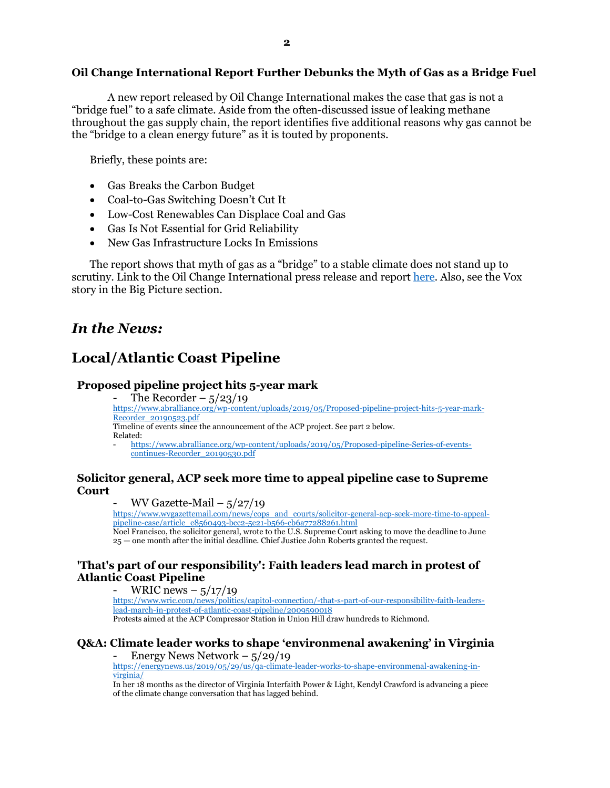## **Oil Change International Report Further Debunks the Myth of Gas as a Bridge Fuel**

A new report released by Oil Change International makes the case that gas is not a "bridge fuel" to a safe climate. Aside from the often-discussed issue of leaking methane throughout the gas supply chain, the report identifies five additional reasons why gas cannot be the "bridge to a clean energy future" as it is touted by proponents.

Briefly, these points are:

- Gas Breaks the Carbon Budget
- Coal-to-Gas Switching Doesn't Cut It
- Low-Cost Renewables Can Displace Coal and Gas
- Gas Is Not Essential for Grid Reliability
- New Gas Infrastructure Locks In Emissions

The report shows that myth of gas as a "bridge" to a stable climate does not stand up to scrutiny. Link to the Oil Change International press release and report [here.](http://priceofoil.org/2019/05/30/gas-is-not-a-bridge-fuel/) Also, see the Vox story in the Big Picture section.

# *In the News:*

# **Local/Atlantic Coast Pipeline**

#### **Proposed pipeline project hits 5-year mark**

The Recorder  $-$  5/23/19 [https://www.abralliance.org/wp-content/uploads/2019/05/Proposed-pipeline-project-hits-5-year-mark-](https://www.abralliance.org/wp-content/uploads/2019/05/Proposed-pipeline-project-hits-5-year-mark-Recorder_20190523.pdf)[Recorder\\_20190523.pdf](https://www.abralliance.org/wp-content/uploads/2019/05/Proposed-pipeline-project-hits-5-year-mark-Recorder_20190523.pdf) Timeline of events since the announcement of the ACP project. See part 2 below. Related: - [https://www.abralliance.org/wp-content/uploads/2019/05/Proposed-pipeline-Series-of-events-](https://www.abralliance.org/wp-content/uploads/2019/05/Proposed-pipeline-Series-of-events-continues-Recorder_20190530.pdf)

[continues-Recorder\\_20190530.pdf](https://www.abralliance.org/wp-content/uploads/2019/05/Proposed-pipeline-Series-of-events-continues-Recorder_20190530.pdf)

## **Solicitor general, ACP seek more time to appeal pipeline case to Supreme Court**

#### WV Gazette-Mail  $-5/27/19$

[https://www.wvgazettemail.com/news/cops\\_and\\_courts/solicitor-general-acp-seek-more-time-to-appeal](https://www.wvgazettemail.com/news/cops_and_courts/solicitor-general-acp-seek-more-time-to-appeal-pipeline-case/article_e8560493-bcc2-5e21-b566-cb6a77288261.html)[pipeline-case/article\\_e8560493-bcc2-5e21-b566-cb6a77288261.html](https://www.wvgazettemail.com/news/cops_and_courts/solicitor-general-acp-seek-more-time-to-appeal-pipeline-case/article_e8560493-bcc2-5e21-b566-cb6a77288261.html)

Noel Francisco, the solicitor general, wrote to the U.S. Supreme Court asking to move the deadline to June 25 — one month after the initial deadline. Chief Justice John Roberts granted the request.

## **'That's part of our responsibility': Faith leaders lead march in protest of Atlantic Coast Pipeline**

## WRIC news  $-$  5/17/19

[https://www.wric.com/news/politics/capitol-connection/-that-s-part-of-our-responsibility-faith-leaders](https://www.wric.com/news/politics/capitol-connection/-that-s-part-of-our-responsibility-faith-leaders-lead-march-in-protest-of-atlantic-coast-pipeline/2009590018)[lead-march-in-protest-of-atlantic-coast-pipeline/2009590018](https://www.wric.com/news/politics/capitol-connection/-that-s-part-of-our-responsibility-faith-leaders-lead-march-in-protest-of-atlantic-coast-pipeline/2009590018) Protests aimed at the ACP Compressor Station in Union Hill draw hundreds to Richmond.

# **Q&A: Climate leader works to shape 'environmenal awakening' in Virginia**

- Energy News Network – 5/29/19

[https://energynews.us/2019/05/29/us/qa-climate-leader-works-to-shape-environmenal-awakening-in](https://energynews.us/2019/05/29/us/qa-climate-leader-works-to-shape-environmenal-awakening-in-virginia/)[virginia/](https://energynews.us/2019/05/29/us/qa-climate-leader-works-to-shape-environmenal-awakening-in-virginia/)

In her 18 months as the director of Virginia Interfaith Power & Light, Kendyl Crawford is advancing a piece of the climate change conversation that has lagged behind.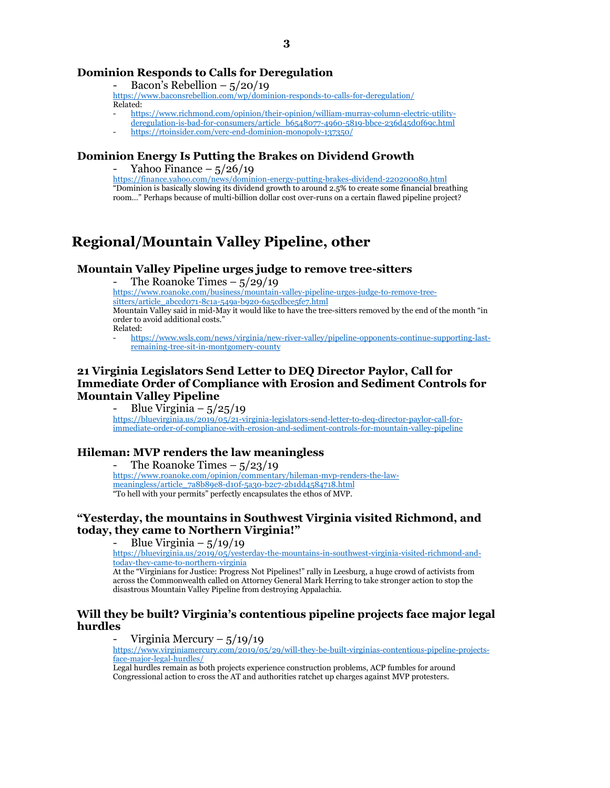## **Dominion Responds to Calls for Deregulation**

Bacon's Rebellion  $-$  5/20/19

- <https://www.baconsrebellion.com/wp/dominion-responds-to-calls-for-deregulation/> Related:
	- [https://www.richmond.com/opinion/their-opinion/william-murray-column-electric-utility](https://www.richmond.com/opinion/their-opinion/william-murray-column-electric-utility-deregulation-is-bad-for-consumers/article_b6548077-4960-5819-bbce-236d45d0f69c.html)[deregulation-is-bad-for-consumers/article\\_b6548077-4960-5819-bbce-236d45d0f69c.html](https://www.richmond.com/opinion/their-opinion/william-murray-column-electric-utility-deregulation-is-bad-for-consumers/article_b6548077-4960-5819-bbce-236d45d0f69c.html)
- <https://rtoinsider.com/verc-end-dominion-monopoly-137350/>

## **Dominion Energy Is Putting the Brakes on Dividend Growth**

Yahoo Finance  $-$  5/26/19

<https://finance.yahoo.com/news/dominion-energy-putting-brakes-dividend-220200080.html> "Dominion is basically slowing its dividend growth to around 2.5% to create some financial breathing room…" Perhaps because of multi-billion dollar cost over-runs on a certain flawed pipeline project?

# **Regional/Mountain Valley Pipeline, other**

## **Mountain Valley Pipeline urges judge to remove tree-sitters**

The Roanoke Times  $-$  5/29/19

[https://www.roanoke.com/business/mountain-valley-pipeline-urges-judge-to-remove-tree](https://www.roanoke.com/business/mountain-valley-pipeline-urges-judge-to-remove-tree-sitters/article_abccd071-8c1a-549a-b920-6a5cdbce5fe7.html)[sitters/article\\_abccd071-8c1a-549a-b920-6a5cdbce5fe7.html](https://www.roanoke.com/business/mountain-valley-pipeline-urges-judge-to-remove-tree-sitters/article_abccd071-8c1a-549a-b920-6a5cdbce5fe7.html) Mountain Valley said in mid-May it would like to have the tree-sitters removed by the end of the month "in

order to avoid additional costs."

Related:

- [https://www.wsls.com/news/virginia/new-river-valley/pipeline-opponents-continue-supporting-last](https://www.wsls.com/news/virginia/new-river-valley/pipeline-opponents-continue-supporting-last-remaining-tree-sit-in-montgomery-county)[remaining-tree-sit-in-montgomery-county](https://www.wsls.com/news/virginia/new-river-valley/pipeline-opponents-continue-supporting-last-remaining-tree-sit-in-montgomery-county)

## **21 Virginia Legislators Send Letter to DEQ Director Paylor, Call for Immediate Order of Compliance with Erosion and Sediment Controls for Mountain Valley Pipeline**

Blue Virginia –  $5/25/19$ [https://bluevirginia.us/2019/05/21-virginia-legislators-send-letter-to-deq-director-paylor-call-for](https://bluevirginia.us/2019/05/21-virginia-legislators-send-letter-to-deq-director-paylor-call-for-immediate-order-of-compliance-with-erosion-and-sediment-controls-for-mountain-valley-pipeline)[immediate-order-of-compliance-with-erosion-and-sediment-controls-for-mountain-valley-pipeline](https://bluevirginia.us/2019/05/21-virginia-legislators-send-letter-to-deq-director-paylor-call-for-immediate-order-of-compliance-with-erosion-and-sediment-controls-for-mountain-valley-pipeline)

## **Hileman: MVP renders the law meaningless**

The Roanoke Times  $-5/23/19$ [https://www.roanoke.com/opinion/commentary/hileman-mvp-renders-the-law](https://www.roanoke.com/opinion/commentary/hileman-mvp-renders-the-law-meaningless/article_7a8b89e8-d10f-5a30-b2c7-2b1dd4584718.html)[meaningless/article\\_7a8b89e8-d10f-5a30-b2c7-2b1dd4584718.html](https://www.roanoke.com/opinion/commentary/hileman-mvp-renders-the-law-meaningless/article_7a8b89e8-d10f-5a30-b2c7-2b1dd4584718.html) "To hell with your permits" perfectly encapsulates the ethos of MVP.

## **"Yesterday, the mountains in Southwest Virginia visited Richmond, and today, they came to Northern Virginia!"**

Blue Virginia –  $5/19/19$ 

[https://bluevirginia.us/2019/05/yesterday-the-mountains-in-southwest-virginia-visited-richmond-and](https://bluevirginia.us/2019/05/yesterday-the-mountains-in-southwest-virginia-visited-richmond-and-today-they-came-to-northern-virginia)[today-they-came-to-northern-virginia](https://bluevirginia.us/2019/05/yesterday-the-mountains-in-southwest-virginia-visited-richmond-and-today-they-came-to-northern-virginia)

At the "Virginians for Justice: Progress Not Pipelines!" rally in Leesburg, a huge crowd of activists from across the Commonwealth called on Attorney General Mark Herring to take stronger action to stop the disastrous Mountain Valley Pipeline from destroying Appalachia.

## **Will they be built? Virginia's contentious pipeline projects face major legal hurdles**

#### Virginia Mercury –  $5/19/19$

[https://www.virginiamercury.com/2019/05/29/will-they-be-built-virginias-contentious-pipeline-projects](https://www.virginiamercury.com/2019/05/29/will-they-be-built-virginias-contentious-pipeline-projects-face-major-legal-hurdles/)[face-major-legal-hurdles/](https://www.virginiamercury.com/2019/05/29/will-they-be-built-virginias-contentious-pipeline-projects-face-major-legal-hurdles/)

Legal hurdles remain as both projects experience construction problems, ACP fumbles for around Congressional action to cross the AT and authorities ratchet up charges against MVP protesters.